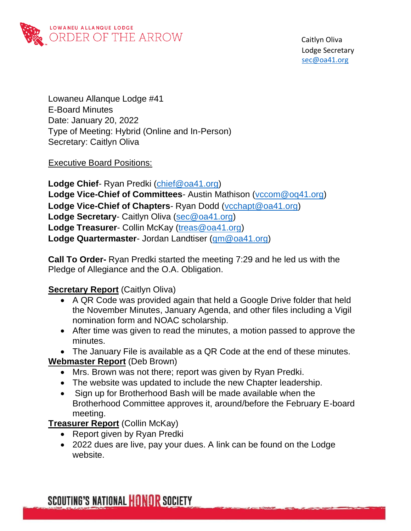

Lowaneu Allanque Lodge #41 E-Board Minutes Date: January 20, 2022 Type of Meeting: Hybrid (Online and In-Person) Secretary: Caitlyn Oliva

Executive Board Positions:

**Lodge Chief**- Ryan Predki [\(chief@oa41.org\)](mailto:chief@oa41.org) **Lodge Vice-Chief of Committees**- Austin Mathison [\(vccom@oq41.org\)](mailto:vccom@oq41.org) **Lodge Vice-Chief of Chapters**- Ryan Dodd [\(vcchapt@oa41.org\)](mailto:vcchapt@oa41.org) **Lodge Secretary**- Caitlyn Oliva [\(sec@oa41.org\)](mailto:sec@oa41.org) **Lodge Treasurer**- Collin McKay [\(treas@oa41.org\)](mailto:treas@oa41.org) **Lodge Quartermaster**- Jordan Landtiser [\(qm@oa41.org\)](mailto:qm@oa41.org)

**Call To Order-** Ryan Predki started the meeting 7:29 and he led us with the Pledge of Allegiance and the O.A. Obligation.

#### **Secretary Report** (Caitlyn Oliva)

- A QR Code was provided again that held a Google Drive folder that held the November Minutes, January Agenda, and other files including a Vigil nomination form and NOAC scholarship.
- After time was given to read the minutes, a motion passed to approve the minutes.
- The January File is available as a QR Code at the end of these minutes.

## **Webmaster Report** (Deb Brown)

- Mrs. Brown was not there; report was given by Ryan Predki.
- The website was updated to include the new Chapter leadership.
- Sign up for Brotherhood Bash will be made available when the Brotherhood Committee approves it, around/before the February E-board meeting.

**Treasurer Report** (Collin McKay)

- Report given by Ryan Predki
- 2022 dues are live, pay your dues. A link can be found on the Lodge website.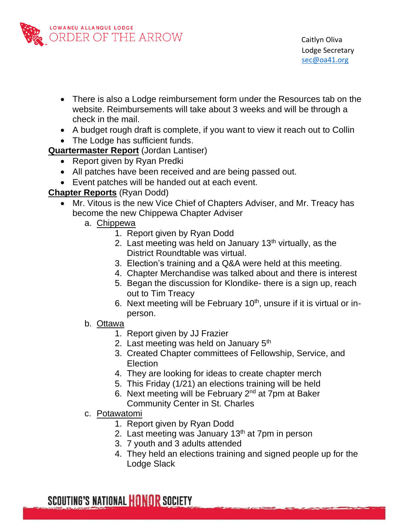

- There is also a Lodge reimbursement form under the Resources tab on the website. Reimbursements will take about 3 weeks and will be through a check in the mail.
- A budget rough draft is complete, if you want to view it reach out to Collin
- The Lodge has sufficient funds.

**Quartermaster Report** (Jordan Lantiser)

- Report given by Ryan Predki
- All patches have been received and are being passed out.
- Event patches will be handed out at each event.

### **Chapter Reports** (Ryan Dodd)

- Mr. Vitous is the new Vice Chief of Chapters Adviser, and Mr. Treacy has become the new Chippewa Chapter Adviser
	- a. Chippewa
		- 1. Report given by Ryan Dodd
		- 2. Last meeting was held on January  $13<sup>th</sup>$  virtually, as the District Roundtable was virtual.
		- 3. Election's training and a Q&A were held at this meeting.
		- 4. Chapter Merchandise was talked about and there is interest
		- 5. Began the discussion for Klondike- there is a sign up, reach out to Tim Treacy
		- 6. Next meeting will be February  $10<sup>th</sup>$ , unsure if it is virtual or inperson.
	- b. Ottawa
		- 1. Report given by JJ Frazier
		- 2. Last meeting was held on January  $5<sup>th</sup>$
		- 3. Created Chapter committees of Fellowship, Service, and Election
		- 4. They are looking for ideas to create chapter merch
		- 5. This Friday (1/21) an elections training will be held
		- 6. Next meeting will be February 2<sup>nd</sup> at 7pm at Baker Community Center in St. Charles
	- c. Potawatomi
		- 1. Report given by Ryan Dodd
		- 2. Last meeting was January  $13<sup>th</sup>$  at 7pm in person
		- 3. 7 youth and 3 adults attended
		- 4. They held an elections training and signed people up for the Lodge Slack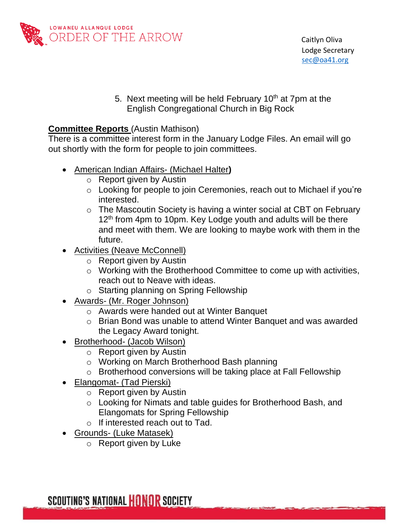

5. Next meeting will be held February 10<sup>th</sup> at 7pm at the English Congregational Church in Big Rock

#### **Committee Reports** (Austin Mathison)

There is a committee interest form in the January Lodge Files. An email will go out shortly with the form for people to join committees.

- American Indian Affairs- (Michael Halter**)**
	- o Report given by Austin
	- o Looking for people to join Ceremonies, reach out to Michael if you're interested.
	- o The Mascoutin Society is having a winter social at CBT on February 12<sup>th</sup> from 4pm to 10pm. Key Lodge youth and adults will be there and meet with them. We are looking to maybe work with them in the future.
- **Activities (Neave McConnell)** 
	- o Report given by Austin
	- o Working with the Brotherhood Committee to come up with activities, reach out to Neave with ideas.
	- o Starting planning on Spring Fellowship
- Awards- (Mr. Roger Johnson)
	- o Awards were handed out at Winter Banquet
	- o Brian Bond was unable to attend Winter Banquet and was awarded the Legacy Award tonight.
- Brotherhood- (Jacob Wilson)
	- o Report given by Austin
	- o Working on March Brotherhood Bash planning
	- o Brotherhood conversions will be taking place at Fall Fellowship
- Elangomat- (Tad Pierski)
	- o Report given by Austin
	- o Looking for Nimats and table guides for Brotherhood Bash, and Elangomats for Spring Fellowship
	- o If interested reach out to Tad.
- Grounds- (Luke Matasek)
	- o Report given by Luke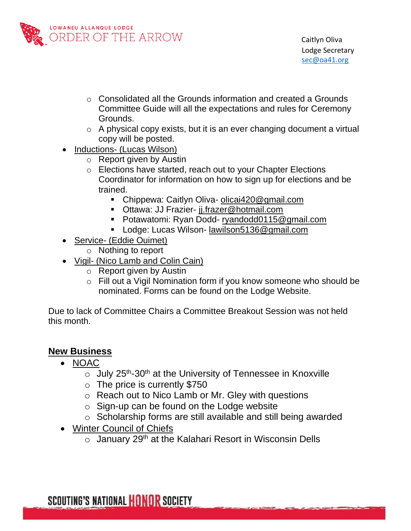

- $\circ$  Consolidated all the Grounds information and created a Grounds Committee Guide will all the expectations and rules for Ceremony Grounds.
- o A physical copy exists, but it is an ever changing document a virtual copy will be posted.
- Inductions- (Lucas Wilson)
	- o Report given by Austin
	- o Elections have started, reach out to your Chapter Elections Coordinator for information on how to sign up for elections and be trained.
		- Chippewa: Caitlyn Oliva- [olicai420@gmail.com](mailto:olicai420@gmail.com)
		- **Ottawa: JJ Frazier- [jj.frazer@hotmail.com](mailto:jj.frazer@hotmail.com)**
		- Potawatomi: Ryan Dodd- [ryandodd0115@gmail.com](mailto:ryandodd0115@gmail.com)
		- Lodge: Lucas Wilson- [lawilson5136@gmail.com](mailto:lawilson5136@gmail.com)
- Service- (Eddie Ouimet)
	- o Nothing to report
- Vigil- (Nico Lamb and Colin Cain)
	- o Report given by Austin
	- o Fill out a Vigil Nomination form if you know someone who should be nominated. Forms can be found on the Lodge Website.

Due to lack of Committee Chairs a Committee Breakout Session was not held this month.

## **New Business**

- NOAC
	- $\circ$  July 25<sup>th</sup>-30<sup>th</sup> at the University of Tennessee in Knoxville
	- $\circ$  The price is currently \$750
	- o Reach out to Nico Lamb or Mr. Gley with questions
	- $\circ$  Sign-up can be found on the Lodge website
	- o Scholarship forms are still available and still being awarded
- Winter Council of Chiefs
	- $\circ$  January 29<sup>th</sup> at the Kalahari Resort in Wisconsin Dells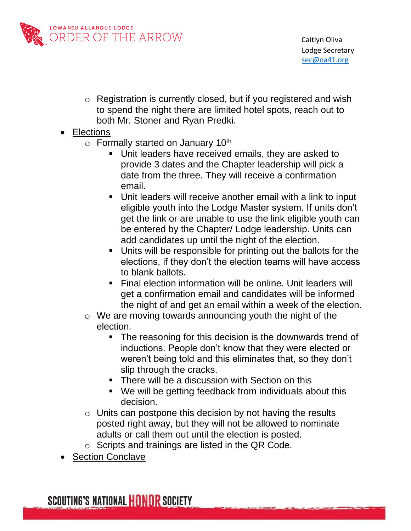

- o Registration is currently closed, but if you registered and wish to spend the night there are limited hotel spots, reach out to both Mr. Stoner and Ryan Predki.
- Elections
	- $\circ$  Formally started on January 10<sup>th</sup>
		- Unit leaders have received emails, they are asked to provide 3 dates and the Chapter leadership will pick a date from the three. They will receive a confirmation email.
		- Unit leaders will receive another email with a link to input eligible youth into the Lodge Master system. If units don't get the link or are unable to use the link eligible youth can be entered by the Chapter/ Lodge leadership. Units can add candidates up until the night of the election.
		- Units will be responsible for printing out the ballots for the elections, if they don't the election teams will have access to blank ballots.
		- Final election information will be online. Unit leaders will get a confirmation email and candidates will be informed the night of and get an email within a week of the election.
	- o We are moving towards announcing youth the night of the election.
		- The reasoning for this decision is the downwards trend of inductions. People don't know that they were elected or weren't being told and this eliminates that, so they don't slip through the cracks.
		- There will be a discussion with Section on this
		- We will be getting feedback from individuals about this decision.
	- $\circ$  Units can postpone this decision by not having the results posted right away, but they will not be allowed to nominate adults or call them out until the election is posted.
	- $\circ$  Scripts and trainings are listed in the QR Code.
- **Section Conclave**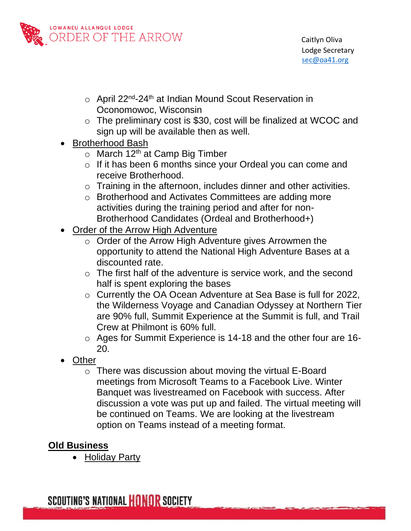

- o April 22nd-24th at Indian Mound Scout Reservation in Oconomowoc, Wisconsin
- o The preliminary cost is \$30, cost will be finalized at WCOC and sign up will be available then as well.
- Brotherhood Bash
	- $\circ$  March 12<sup>th</sup> at Camp Big Timber
	- o If it has been 6 months since your Ordeal you can come and receive Brotherhood.
	- $\circ$  Training in the afternoon, includes dinner and other activities.
	- o Brotherhood and Activates Committees are adding more activities during the training period and after for non-Brotherhood Candidates (Ordeal and Brotherhood+)
- Order of the Arrow High Adventure
	- o Order of the Arrow High Adventure gives Arrowmen the opportunity to attend the National High Adventure Bases at a discounted rate.
	- $\circ$  The first half of the adventure is service work, and the second half is spent exploring the bases
	- o Currently the OA Ocean Adventure at Sea Base is full for 2022, the Wilderness Voyage and Canadian Odyssey at Northern Tier are 90% full, Summit Experience at the Summit is full, and Trail Crew at Philmont is 60% full.
	- o Ages for Summit Experience is 14-18 and the other four are 16- 20.
- Other
	- o There was discussion about moving the virtual E-Board meetings from Microsoft Teams to a Facebook Live. Winter Banquet was livestreamed on Facebook with success. After discussion a vote was put up and failed. The virtual meeting will be continued on Teams. We are looking at the livestream option on Teams instead of a meeting format.

# **Old Business**

• Holiday Party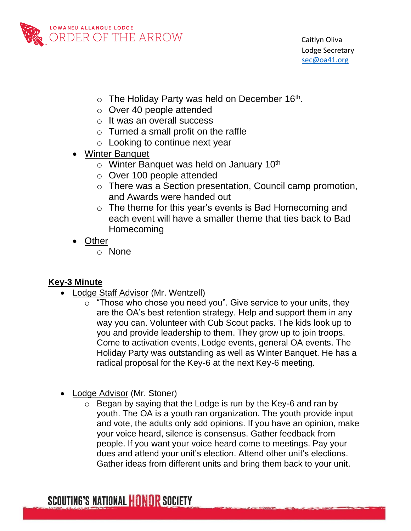

- $\circ$  The Holiday Party was held on December 16<sup>th</sup>.
- o Over 40 people attended
- o It was an overall success
- $\circ$  Turned a small profit on the raffle
- o Looking to continue next year
- Winter Banquet
	- $\circ$  Winter Banquet was held on January 10<sup>th</sup>
	- o Over 100 people attended
	- o There was a Section presentation, Council camp promotion, and Awards were handed out
	- o The theme for this year's events is Bad Homecoming and each event will have a smaller theme that ties back to Bad Homecoming
- Other
	- o None

#### **Key-3 Minute**

- Lodge Staff Advisor (Mr. Wentzell)
	- "Those who chose you need you". Give service to your units, they are the OA's best retention strategy. Help and support them in any way you can. Volunteer with Cub Scout packs. The kids look up to you and provide leadership to them. They grow up to join troops. Come to activation events, Lodge events, general OA events. The Holiday Party was outstanding as well as Winter Banquet. He has a radical proposal for the Key-6 at the next Key-6 meeting.
- Lodge Advisor (Mr. Stoner)
	- $\circ$  Began by saying that the Lodge is run by the Key-6 and ran by youth. The OA is a youth ran organization. The youth provide input and vote, the adults only add opinions. If you have an opinion, make your voice heard, silence is consensus. Gather feedback from people. If you want your voice heard come to meetings. Pay your dues and attend your unit's election. Attend other unit's elections. Gather ideas from different units and bring them back to your unit.